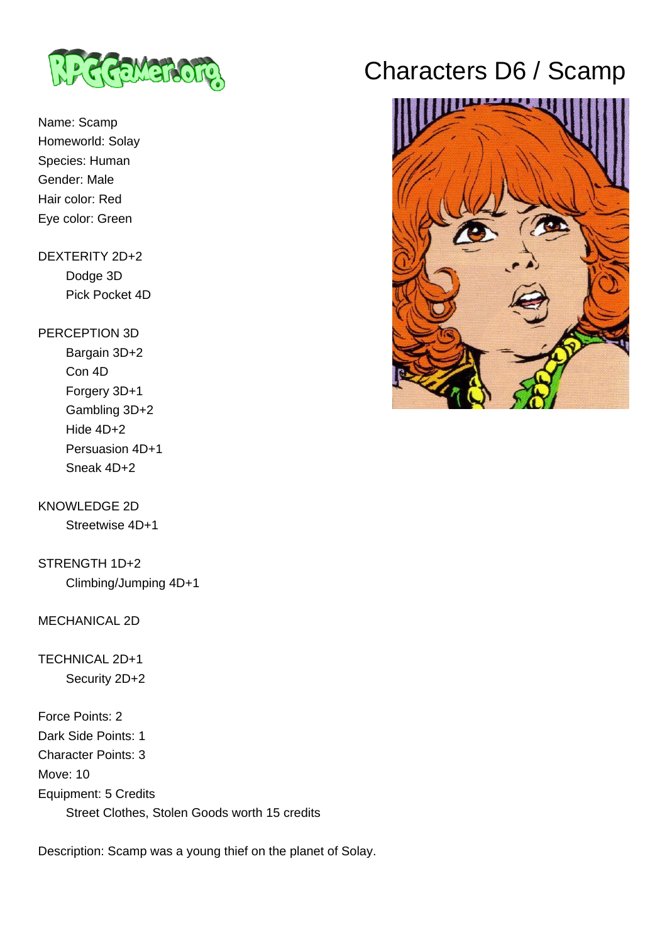

Name: Scamp Homeworld: Solay Species: Human Gender: Male Hair color: Red Eye color: Green

### DEXTERITY 2D+2 Dodge 3D Pick Pocket 4D

#### PERCEPTION 3D

 Bargain 3D+2 Con 4D Forgery 3D+1 Gambling 3D+2 Hide 4D+2 Persuasion 4D+1 Sneak 4D+2

# KNOWLEDGE 2D

Streetwise 4D+1

STRENGTH 1D+2 Climbing/Jumping 4D+1

#### MECHANICAL 2D

## TECHNICAL 2D+1 Security 2D+2

Force Points: 2 Dark Side Points: 1 Character Points: 3 Move: 10 Equipment: 5 Credits Street Clothes, Stolen Goods worth 15 credits

Description: Scamp was a young thief on the planet of Solay.

# Characters D6 / Scamp

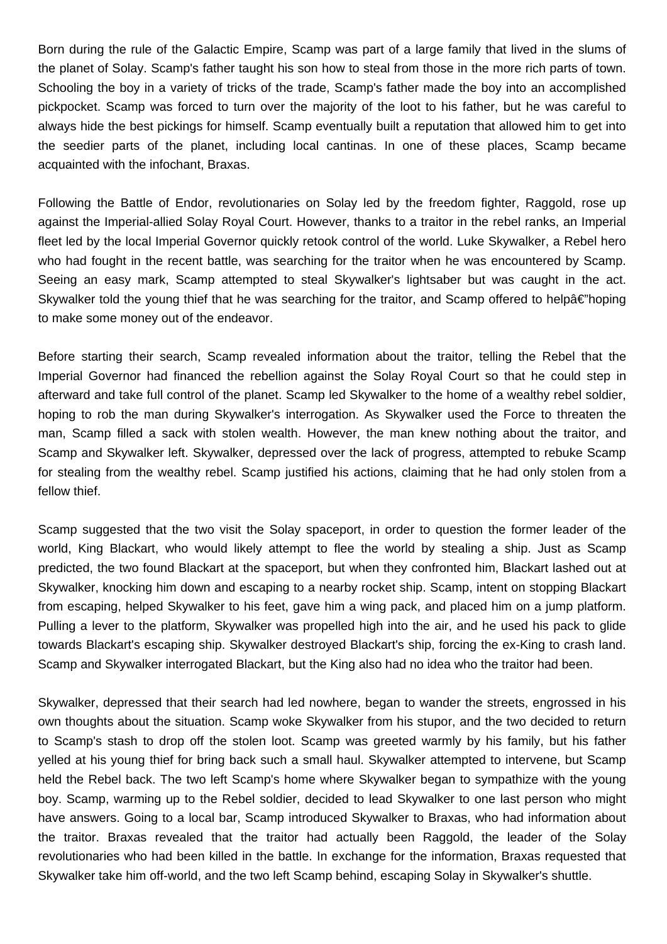Born during the rule of the Galactic Empire, Scamp was part of a large family that lived in the slums of the planet of Solay. Scamp's father taught his son how to steal from those in the more rich parts of town. Schooling the boy in a variety of tricks of the trade, Scamp's father made the boy into an accomplished pickpocket. Scamp was forced to turn over the majority of the loot to his father, but he was careful to always hide the best pickings for himself. Scamp eventually built a reputation that allowed him to get into the seedier parts of the planet, including local cantinas. In one of these places, Scamp became acquainted with the infochant, Braxas.

Following the Battle of Endor, revolutionaries on Solay led by the freedom fighter, Raggold, rose up against the Imperial-allied Solay Royal Court. However, thanks to a traitor in the rebel ranks, an Imperial fleet led by the local Imperial Governor quickly retook control of the world. Luke Skywalker, a Rebel hero who had fought in the recent battle, was searching for the traitor when he was encountered by Scamp. Seeing an easy mark, Scamp attempted to steal Skywalker's lightsaber but was caught in the act. Skywalker told the young thief that he was searching for the traitor, and Scamp offered to helpa $\epsilon$ "hoping to make some money out of the endeavor.

Before starting their search, Scamp revealed information about the traitor, telling the Rebel that the Imperial Governor had financed the rebellion against the Solay Royal Court so that he could step in afterward and take full control of the planet. Scamp led Skywalker to the home of a wealthy rebel soldier, hoping to rob the man during Skywalker's interrogation. As Skywalker used the Force to threaten the man, Scamp filled a sack with stolen wealth. However, the man knew nothing about the traitor, and Scamp and Skywalker left. Skywalker, depressed over the lack of progress, attempted to rebuke Scamp for stealing from the wealthy rebel. Scamp justified his actions, claiming that he had only stolen from a fellow thief.

Scamp suggested that the two visit the Solay spaceport, in order to question the former leader of the world, King Blackart, who would likely attempt to flee the world by stealing a ship. Just as Scamp predicted, the two found Blackart at the spaceport, but when they confronted him, Blackart lashed out at Skywalker, knocking him down and escaping to a nearby rocket ship. Scamp, intent on stopping Blackart from escaping, helped Skywalker to his feet, gave him a wing pack, and placed him on a jump platform. Pulling a lever to the platform, Skywalker was propelled high into the air, and he used his pack to glide towards Blackart's escaping ship. Skywalker destroyed Blackart's ship, forcing the ex-King to crash land. Scamp and Skywalker interrogated Blackart, but the King also had no idea who the traitor had been.

Skywalker, depressed that their search had led nowhere, began to wander the streets, engrossed in his own thoughts about the situation. Scamp woke Skywalker from his stupor, and the two decided to return to Scamp's stash to drop off the stolen loot. Scamp was greeted warmly by his family, but his father yelled at his young thief for bring back such a small haul. Skywalker attempted to intervene, but Scamp held the Rebel back. The two left Scamp's home where Skywalker began to sympathize with the young boy. Scamp, warming up to the Rebel soldier, decided to lead Skywalker to one last person who might have answers. Going to a local bar, Scamp introduced Skywalker to Braxas, who had information about the traitor. Braxas revealed that the traitor had actually been Raggold, the leader of the Solay revolutionaries who had been killed in the battle. In exchange for the information, Braxas requested that Skywalker take him off-world, and the two left Scamp behind, escaping Solay in Skywalker's shuttle.